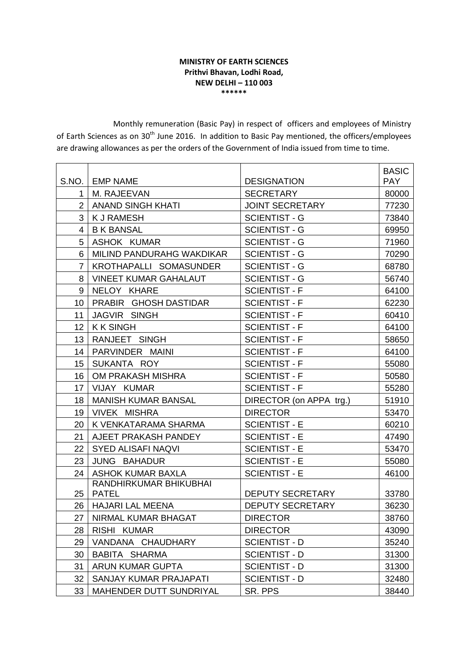## **MINISTRY OF EARTH SCIENCES Prithvi Bhavan, Lodhi Road, NEW DELHI – 110 003 \*\*\*\*\*\***

Monthly remuneration (Basic Pay) in respect of officers and employees of Ministry of Earth Sciences as on 30<sup>th</sup> June 2016. In addition to Basic Pay mentioned, the officers/employees are drawing allowances as per the orders of the Government of India issued from time to time.

|                 |                              |                         | <b>BASIC</b> |
|-----------------|------------------------------|-------------------------|--------------|
|                 | S.NO.   EMP NAME             | <b>DESIGNATION</b>      | <b>PAY</b>   |
| 1               | M. RAJEEVAN                  | <b>SECRETARY</b>        | 80000        |
| $\overline{2}$  | <b>ANAND SINGH KHATI</b>     | <b>JOINT SECRETARY</b>  | 77230        |
| 3               | <b>KJ RAMESH</b>             | <b>SCIENTIST - G</b>    | 73840        |
| 4               | <b>B K BANSAL</b>            | <b>SCIENTIST - G</b>    | 69950        |
| 5               | ASHOK KUMAR                  | <b>SCIENTIST - G</b>    | 71960        |
| 6               | MILIND PANDURAHG WAKDIKAR    | <b>SCIENTIST - G</b>    | 70290        |
| $\overline{7}$  | KROTHAPALLI SOMASUNDER       | <b>SCIENTIST - G</b>    | 68780        |
| 8               | <b>VINEET KUMAR GAHALAUT</b> | <b>SCIENTIST - G</b>    | 56740        |
| 9               | NELOY KHARE                  | <b>SCIENTIST - F</b>    | 64100        |
| 10              | PRABIR GHOSH DASTIDAR        | <b>SCIENTIST - F</b>    | 62230        |
| 11              | JAGVIR SINGH                 | <b>SCIENTIST - F</b>    | 60410        |
| 12 <sub>2</sub> | <b>KK SINGH</b>              | <b>SCIENTIST - F</b>    | 64100        |
| 13              | RANJEET SINGH                | <b>SCIENTIST - F</b>    | 58650        |
| 14              | PARVINDER MAINI              | <b>SCIENTIST - F</b>    | 64100        |
| 15              | SUKANTA ROY                  | <b>SCIENTIST - F</b>    | 55080        |
| 16              | OM PRAKASH MISHRA            | <b>SCIENTIST - F</b>    | 50580        |
| 17              | VIJAY KUMAR                  | <b>SCIENTIST - F</b>    | 55280        |
| 18              | <b>MANISH KUMAR BANSAL</b>   | DIRECTOR (on APPA trg.) | 51910        |
| 19              | <b>VIVEK MISHRA</b>          | <b>DIRECTOR</b>         | 53470        |
| 20              | K VENKATARAMA SHARMA         | <b>SCIENTIST - E</b>    | 60210        |
| 21              | AJEET PRAKASH PANDEY         | <b>SCIENTIST - E</b>    | 47490        |
| 22              | <b>SYED ALISAFI NAQVI</b>    | <b>SCIENTIST - E</b>    | 53470        |
| 23              | JUNG BAHADUR                 | <b>SCIENTIST - E</b>    | 55080        |
| 24              | <b>ASHOK KUMAR BAXLA</b>     | <b>SCIENTIST - E</b>    | 46100        |
|                 | RANDHIRKUMAR BHIKUBHAI       |                         |              |
| 25              | <b>PATEL</b>                 | DEPUTY SECRETARY        | 33780        |
| 26              | <b>HAJARI LAL MEENA</b>      | <b>DEPUTY SECRETARY</b> | 36230        |
| 27              | NIRMAL KUMAR BHAGAT          | <b>DIRECTOR</b>         | 38760        |
| 28              | RISHI KUMAR                  | <b>DIRECTOR</b>         | 43090        |
| 29              | VANDANA CHAUDHARY            | <b>SCIENTIST - D</b>    | 35240        |
| 30              | BABITA SHARMA                | <b>SCIENTIST - D</b>    | 31300        |
| 31              | ARUN KUMAR GUPTA             | <b>SCIENTIST - D</b>    | 31300        |
| 32              | SANJAY KUMAR PRAJAPATI       | <b>SCIENTIST - D</b>    | 32480        |
| 33              | MAHENDER DUTT SUNDRIYAL      | SR. PPS                 | 38440        |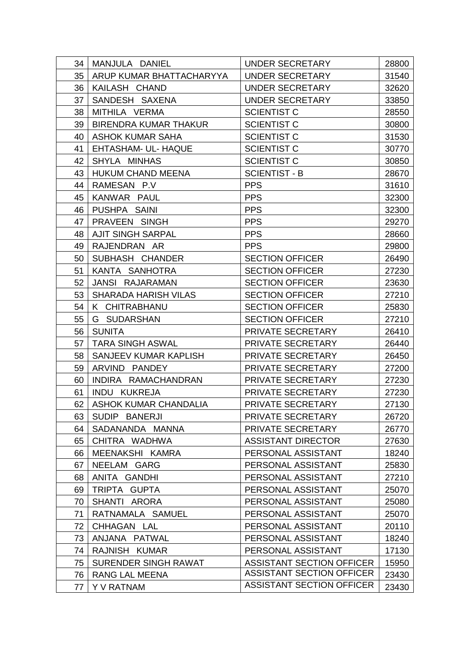| 34 | MANJULA DANIEL               | UNDER SECRETARY                  | 28800 |
|----|------------------------------|----------------------------------|-------|
| 35 | ARUP KUMAR BHATTACHARYYA     | UNDER SECRETARY                  | 31540 |
| 36 | KAILASH CHAND                | UNDER SECRETARY                  | 32620 |
| 37 | SANDESH SAXENA               | <b>UNDER SECRETARY</b>           | 33850 |
| 38 | MITHILA VERMA                | <b>SCIENTIST C</b>               | 28550 |
| 39 | <b>BIRENDRA KUMAR THAKUR</b> | <b>SCIENTIST C</b>               | 30800 |
| 40 | <b>ASHOK KUMAR SAHA</b>      | <b>SCIENTIST C</b>               | 31530 |
| 41 | EHTASHAM- UL- HAQUE          | <b>SCIENTIST C</b>               | 30770 |
| 42 | SHYLA MINHAS                 | <b>SCIENTIST C</b>               | 30850 |
| 43 | <b>HUKUM CHAND MEENA</b>     | <b>SCIENTIST - B</b>             | 28670 |
| 44 | RAMESAN P.V                  | <b>PPS</b>                       | 31610 |
| 45 | KANWAR PAUL                  | <b>PPS</b>                       | 32300 |
| 46 | PUSHPA SAINI                 | <b>PPS</b>                       | 32300 |
| 47 | PRAVEEN SINGH                | <b>PPS</b>                       | 29270 |
| 48 | <b>AJIT SINGH SARPAL</b>     | <b>PPS</b>                       | 28660 |
| 49 | RAJENDRAN AR                 | <b>PPS</b>                       | 29800 |
| 50 | SUBHASH CHANDER              | <b>SECTION OFFICER</b>           | 26490 |
| 51 | KANTA SANHOTRA               | <b>SECTION OFFICER</b>           | 27230 |
| 52 | JANSI RAJARAMAN              | <b>SECTION OFFICER</b>           | 23630 |
| 53 | <b>SHARADA HARISH VILAS</b>  | <b>SECTION OFFICER</b>           | 27210 |
| 54 | K CHITRABHANU                | <b>SECTION OFFICER</b>           | 25830 |
| 55 | G SUDARSHAN                  | <b>SECTION OFFICER</b>           | 27210 |
| 56 | <b>SUNITA</b>                | PRIVATE SECRETARY                | 26410 |
| 57 | <b>TARA SINGH ASWAL</b>      | PRIVATE SECRETARY                | 26440 |
| 58 | SANJEEV KUMAR KAPLISH        | PRIVATE SECRETARY                | 26450 |
| 59 | ARVIND PANDEY                | PRIVATE SECRETARY                | 27200 |
| 60 | INDIRA RAMACHANDRAN          | PRIVATE SECRETARY                | 27230 |
| 61 | INDU KUKREJA                 | PRIVATE SECRETARY                | 27230 |
| 62 | <b>ASHOK KUMAR CHANDALIA</b> | PRIVATE SECRETARY                | 27130 |
| 63 | SUDIP BANERJI                | PRIVATE SECRETARY                | 26720 |
| 64 | SADANANDA MANNA              | PRIVATE SECRETARY                | 26770 |
| 65 | CHITRA WADHWA                | <b>ASSISTANT DIRECTOR</b>        | 27630 |
| 66 | MEENAKSHI KAMRA              | PERSONAL ASSISTANT               | 18240 |
| 67 | NEELAM GARG                  | PERSONAL ASSISTANT               | 25830 |
| 68 | ANITA GANDHI                 | PERSONAL ASSISTANT               | 27210 |
| 69 | TRIPTA GUPTA                 | PERSONAL ASSISTANT               | 25070 |
| 70 | SHANTI ARORA                 | PERSONAL ASSISTANT               | 25080 |
| 71 | RATNAMALA SAMUEL             | PERSONAL ASSISTANT               | 25070 |
| 72 | CHHAGAN LAL                  | PERSONAL ASSISTANT               | 20110 |
| 73 | ANJANA PATWAL                | PERSONAL ASSISTANT               | 18240 |
| 74 | RAJNISH KUMAR                | PERSONAL ASSISTANT               | 17130 |
| 75 | SURENDER SINGH RAWAT         | <b>ASSISTANT SECTION OFFICER</b> | 15950 |
| 76 | RANG LAL MEENA               | <b>ASSISTANT SECTION OFFICER</b> | 23430 |
| 77 | Y V RATNAM                   | <b>ASSISTANT SECTION OFFICER</b> | 23430 |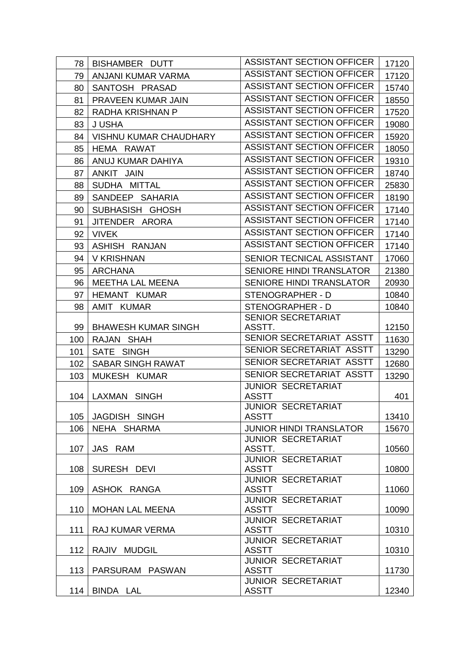| 78  | BISHAMBER DUTT                | <b>ASSISTANT SECTION OFFICER</b>          | 17120 |
|-----|-------------------------------|-------------------------------------------|-------|
| 79  | ANJANI KUMAR VARMA            | <b>ASSISTANT SECTION OFFICER</b>          | 17120 |
| 80  | SANTOSH PRASAD                | <b>ASSISTANT SECTION OFFICER</b>          | 15740 |
| 81  | PRAVEEN KUMAR JAIN            | <b>ASSISTANT SECTION OFFICER</b>          | 18550 |
| 82  | RADHA KRISHNAN P              | <b>ASSISTANT SECTION OFFICER</b>          | 17520 |
| 83  | J USHA                        | <b>ASSISTANT SECTION OFFICER</b>          | 19080 |
| 84  | <b>VISHNU KUMAR CHAUDHARY</b> | <b>ASSISTANT SECTION OFFICER</b>          | 15920 |
| 85  | HEMA RAWAT                    | <b>ASSISTANT SECTION OFFICER</b>          | 18050 |
| 86  | ANUJ KUMAR DAHIYA             | <b>ASSISTANT SECTION OFFICER</b>          | 19310 |
| 87  | ANKIT JAIN                    | <b>ASSISTANT SECTION OFFICER</b>          | 18740 |
| 88  | SUDHA MITTAL                  | <b>ASSISTANT SECTION OFFICER</b>          | 25830 |
| 89  | SANDEEP SAHARIA               | <b>ASSISTANT SECTION OFFICER</b>          | 18190 |
| 90  | SUBHASISH GHOSH               | <b>ASSISTANT SECTION OFFICER</b>          | 17140 |
| 91  | JITENDER ARORA                | <b>ASSISTANT SECTION OFFICER</b>          | 17140 |
| 92  | <b>VIVEK</b>                  | <b>ASSISTANT SECTION OFFICER</b>          | 17140 |
| 93  | ASHISH RANJAN                 | <b>ASSISTANT SECTION OFFICER</b>          | 17140 |
| 94  | <b>V KRISHNAN</b>             | SENIOR TECNICAL ASSISTANT                 | 17060 |
| 95  | <b>ARCHANA</b>                | <b>SENIORE HINDI TRANSLATOR</b>           | 21380 |
| 96  | <b>MEETHA LAL MEENA</b>       | <b>SENIORE HINDI TRANSLATOR</b>           | 20930 |
| 97  | HEMANT KUMAR                  | STENOGRAPHER - D                          | 10840 |
| 98  | AMIT KUMAR                    | STENOGRAPHER - D                          | 10840 |
|     |                               | SENIOR SECRETARIAT                        |       |
| 99  | <b>BHAWESH KUMAR SINGH</b>    | ASSTT.                                    | 12150 |
| 100 | RAJAN SHAH                    | SENIOR SECRETARIAT ASSTT                  | 11630 |
| 101 | SATE SINGH                    | SENIOR SECRETARIAT ASSTT                  | 13290 |
| 102 | SABAR SINGH RAWAT             | SENIOR SECRETARIAT ASSTT                  | 12680 |
| 103 | MUKESH KUMAR                  | SENIOR SECRETARIAT ASSTT                  | 13290 |
|     |                               | <b>JUNIOR SECRETARIAT</b>                 |       |
| 104 | LAXMAN SINGH                  | <b>ASSTT</b><br><b>JUNIOR SECRETARIAT</b> | 401   |
| 105 | JAGDISH SINGH                 | <b>ASSTT</b>                              | 13410 |
| 106 | NEHA SHARMA                   | <b>JUNIOR HINDI TRANSLATOR</b>            | 15670 |
|     |                               | <b>JUNIOR SECRETARIAT</b>                 |       |
| 107 | JAS RAM                       | ASSTT.                                    | 10560 |
|     |                               | <b>JUNIOR SECRETARIAT</b>                 |       |
| 108 | SURESH DEVI                   | <b>ASSTT</b><br><b>JUNIOR SECRETARIAT</b> | 10800 |
| 109 | ASHOK RANGA                   | <b>ASSTT</b>                              | 11060 |
|     |                               | <b>JUNIOR SECRETARIAT</b>                 |       |
| 110 | <b>MOHAN LAL MEENA</b>        | <b>ASSTT</b>                              | 10090 |
|     |                               | <b>JUNIOR SECRETARIAT</b>                 |       |
| 111 | RAJ KUMAR VERMA               | <b>ASSTT</b><br><b>JUNIOR SECRETARIAT</b> | 10310 |
| 112 | RAJIV MUDGIL                  | <b>ASSTT</b>                              | 10310 |
|     |                               | <b>JUNIOR SECRETARIAT</b>                 |       |
| 113 | PARSURAM PASWAN               | <b>ASSTT</b>                              | 11730 |
|     |                               | <b>JUNIOR SECRETARIAT</b>                 |       |
| 114 | BINDA LAL                     | <b>ASSTT</b>                              | 12340 |